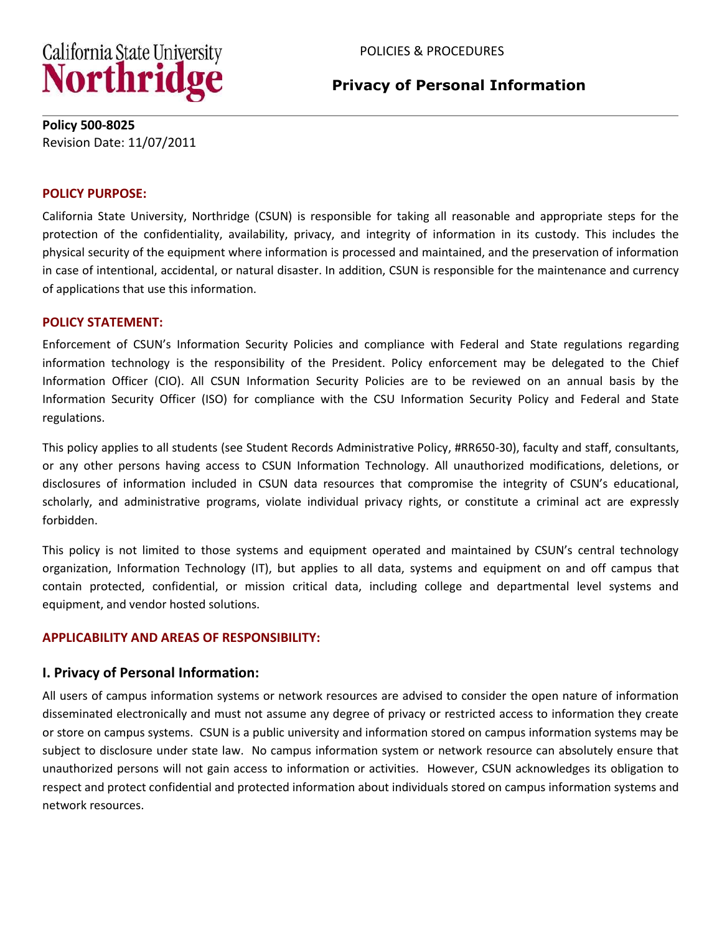

# **Privacy of Personal Information**

#### **Policy 500-8025**  Revision Date: 11/07/2011

#### **POLICY PURPOSE:**

California State University, Northridge (CSUN) is responsible for taking all reasonable and appropriate steps for the protection of the confidentiality, availability, privacy, and integrity of information in its custody. This includes the physical security of the equipment where information is processed and maintained, and the preservation of information in case of intentional, accidental, or natural disaster. In addition, CSUN is responsible for the maintenance and currency of applications that use this information.

#### **POLICY STATEMENT:**

Enforcement of CSUN's Information Security Policies and compliance with Federal and State regulations regarding information technology is the responsibility of the President. Policy enforcement may be delegated to the Chief Information Officer (CIO). All CSUN Information Security Policies are to be reviewed on an annual basis by the Information Security Officer (ISO) for compliance with the CSU Information Security Policy and Federal and State regulations.

This policy applies to all students (see Student Records Administrative Policy, #RR650-30), faculty and staff, consultants, or any other persons having access to CSUN Information Technology. All unauthorized modifications, deletions, or disclosures of information included in CSUN data resources that compromise the integrity of CSUN's educational, scholarly, and administrative programs, violate individual privacy rights, or constitute a criminal act are expressly forbidden.

This policy is not limited to those systems and equipment operated and maintained by CSUN's central technology organization, Information Technology (IT), but applies to all data, systems and equipment on and off campus that contain protected, confidential, or mission critical data, including college and departmental level systems and equipment, and vendor hosted solutions.

### **APPLICABILITY AND AREAS OF RESPONSIBILITY:**

### **I. Privacy of Personal Information:**

All users of campus information systems or network resources are advised to consider the open nature of information disseminated electronically and must not assume any degree of privacy or restricted access to information they create or store on campus systems. CSUN is a public university and information stored on campus information systems may be subject to disclosure under state law. No campus information system or network resource can absolutely ensure that unauthorized persons will not gain access to information or activities. However, CSUN acknowledges its obligation to respect and protect confidential and protected information about individuals stored on campus information systems and network resources.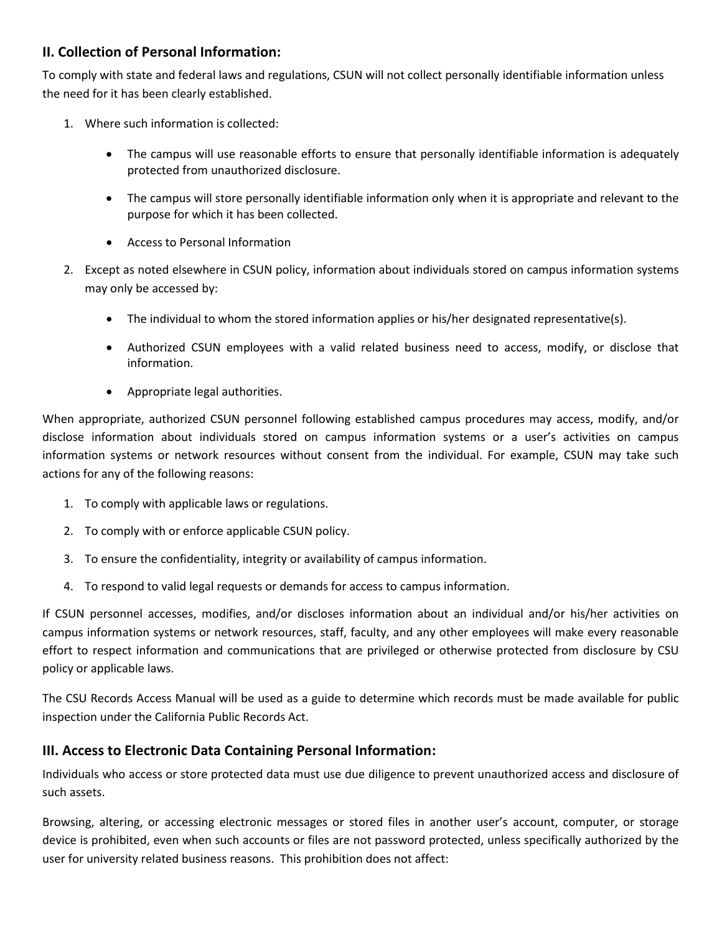# **II. Collection of Personal Information:**

To comply with state and federal laws and regulations, CSUN will not collect personally identifiable information unless the need for it has been clearly established.

- 1. Where such information is collected:
	- The campus will use reasonable efforts to ensure that personally identifiable information is adequately protected from unauthorized disclosure.
	- The campus will store personally identifiable information only when it is appropriate and relevant to the purpose for which it has been collected.
	- Access to Personal Information
- 2. Except as noted elsewhere in CSUN policy, information about individuals stored on campus information systems may only be accessed by:
	- The individual to whom the stored information applies or his/her designated representative(s).
	- Authorized CSUN employees with a valid related business need to access, modify, or disclose that information.
	- Appropriate legal authorities.

When appropriate, authorized CSUN personnel following established campus procedures may access, modify, and/or disclose information about individuals stored on campus information systems or a user's activities on campus information systems or network resources without consent from the individual. For example, CSUN may take such actions for any of the following reasons:

- 1. To comply with applicable laws or regulations.
- 2. To comply with or enforce applicable CSUN policy.
- 3. To ensure the confidentiality, integrity or availability of campus information.
- 4. To respond to valid legal requests or demands for access to campus information.

If CSUN personnel accesses, modifies, and/or discloses information about an individual and/or his/her activities on campus information systems or network resources, staff, faculty, and any other employees will make every reasonable effort to respect information and communications that are privileged or otherwise protected from disclosure by CSU policy or applicable laws.

The CSU Records Access Manual will be used as a guide to determine which records must be made available for public inspection under the California Public Records Act.

# **III. Access to Electronic Data Containing Personal Information:**

Individuals who access or store protected data must use due diligence to prevent unauthorized access and disclosure of such assets.

Browsing, altering, or accessing electronic messages or stored files in another user's account, computer, or storage device is prohibited, even when such accounts or files are not password protected, unless specifically authorized by the user for university related business reasons. This prohibition does not affect: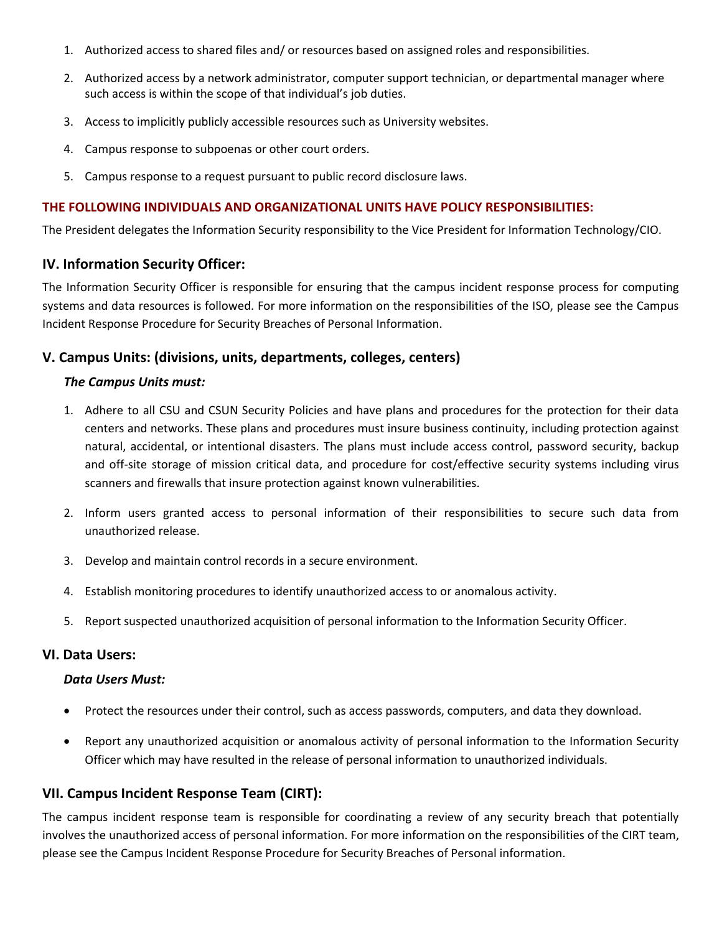- 1. Authorized access to shared files and/ or resources based on assigned roles and responsibilities.
- 2. Authorized access by a network administrator, computer support technician, or departmental manager where such access is within the scope of that individual's job duties.
- 3. Access to implicitly publicly accessible resources such as University websites.
- 4. Campus response to subpoenas or other court orders.
- 5. Campus response to a request pursuant to public record disclosure laws.

## **THE FOLLOWING INDIVIDUALS AND ORGANIZATIONAL UNITS HAVE POLICY RESPONSIBILITIES:**

The President delegates the Information Security responsibility to the Vice President for Information Technology/CIO.

# **IV. Information Security Officer:**

The Information Security Officer is responsible for ensuring that the campus incident response process for computing systems and data resources is followed. For more information on the responsibilities of the ISO, please see the Campus Incident Response Procedure for Security Breaches of Personal Information.

# **V. Campus Units: (divisions, units, departments, colleges, centers)**

#### *The Campus Units must:*

- 1. Adhere to all CSU and CSUN Security Policies and have plans and procedures for the protection for their data centers and networks. These plans and procedures must insure business continuity, including protection against natural, accidental, or intentional disasters. The plans must include access control, password security, backup and off-site storage of mission critical data, and procedure for cost/effective security systems including virus scanners and firewalls that insure protection against known vulnerabilities.
- 2. Inform users granted access to personal information of their responsibilities to secure such data from unauthorized release.
- 3. Develop and maintain control records in a secure environment.
- 4. Establish monitoring procedures to identify unauthorized access to or anomalous activity.
- 5. Report suspected unauthorized acquisition of personal information to the Information Security Officer.

## **VI. Data Users:**

#### *Data Users Must:*

- Protect the resources under their control, such as access passwords, computers, and data they download.
- Report any unauthorized acquisition or anomalous activity of personal information to the Information Security Officer which may have resulted in the release of personal information to unauthorized individuals.

### **VII. Campus Incident Response Team (CIRT):**

The campus incident response team is responsible for coordinating a review of any security breach that potentially involves the unauthorized access of personal information. For more information on the responsibilities of the CIRT team, please see the Campus Incident Response Procedure for Security Breaches of Personal information.